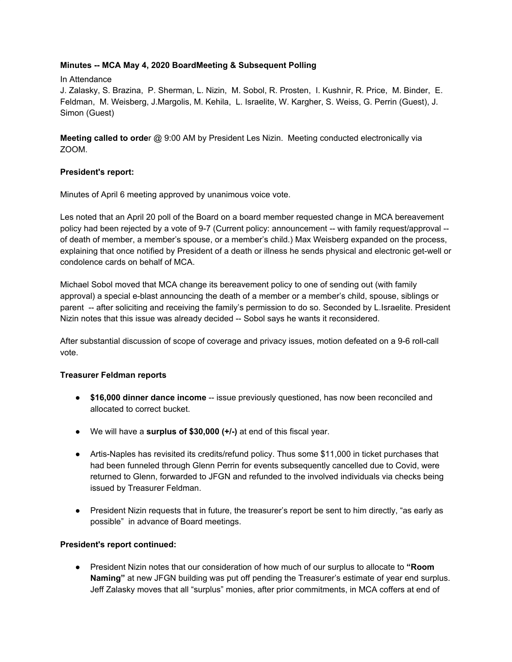## **Minutes -- MCA May 4, 2020 BoardMeeting & Subsequent Polling**

### In Attendance

J. Zalasky, S. Brazina, P. Sherman, L. Nizin, M. Sobol, R. Prosten, I. Kushnir, R. Price, M. Binder, E. Feldman, M. Weisberg, J.Margolis, M. Kehila, L. Israelite, W. Kargher, S. Weiss, G. Perrin (Guest), J. Simon (Guest)

**Meeting called to orde**r @ 9:00 AM by President Les Nizin. Meeting conducted electronically via ZOOM.

### **President's report:**

Minutes of April 6 meeting approved by unanimous voice vote.

Les noted that an April 20 poll of the Board on a board member requested change in MCA bereavement policy had been rejected by a vote of 9-7 (Current policy: announcement -- with family request/approval - of death of member, a member's spouse, or a member's child.) Max Weisberg expanded on the process, explaining that once notified by President of a death or illness he sends physical and electronic get-well or condolence cards on behalf of MCA.

Michael Sobol moved that MCA change its bereavement policy to one of sending out (with family approval) a special e-blast announcing the death of a member or a member's child, spouse, siblings or parent -- after soliciting and receiving the family's permission to do so. Seconded by L.Israelite. President Nizin notes that this issue was already decided -- Sobol says he wants it reconsidered.

After substantial discussion of scope of coverage and privacy issues, motion defeated on a 9-6 roll-call vote.

### **Treasurer Feldman reports**

- **\$16,000 dinner dance income** -- issue previously questioned, has now been reconciled and allocated to correct bucket.
- We will have a **surplus of \$30,000 (+/-)** at end of this fiscal year.
- Artis-Naples has revisited its credits/refund policy. Thus some \$11,000 in ticket purchases that had been funneled through Glenn Perrin for events subsequently cancelled due to Covid, were returned to Glenn, forwarded to JFGN and refunded to the involved individuals via checks being issued by Treasurer Feldman.
- President Nizin requests that in future, the treasurer's report be sent to him directly, "as early as possible" in advance of Board meetings.

### **President's report continued:**

● President Nizin notes that our consideration of how much of our surplus to allocate to **"Room Naming"** at new JFGN building was put off pending the Treasurer's estimate of year end surplus. Jeff Zalasky moves that all "surplus" monies, after prior commitments, in MCA coffers at end of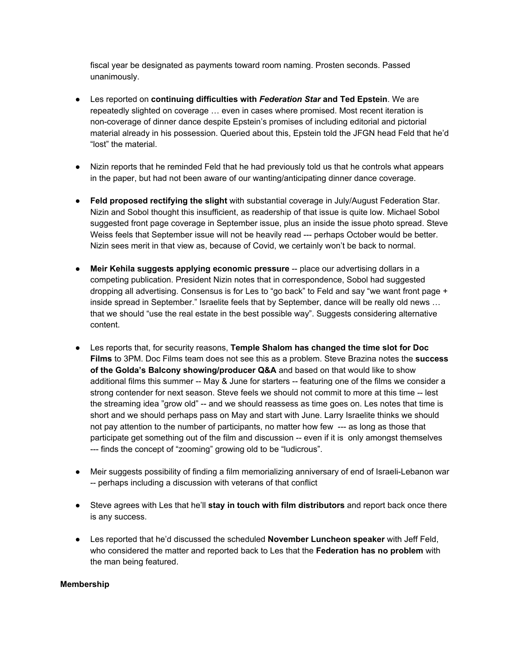fiscal year be designated as payments toward room naming. Prosten seconds. Passed unanimously.

- Les reported on **continuing difficulties with** *Federation Star* **and Ted Epstein**. We are repeatedly slighted on coverage … even in cases where promised. Most recent iteration is non-coverage of dinner dance despite Epstein's promises of including editorial and pictorial material already in his possession. Queried about this, Epstein told the JFGN head Feld that he'd "lost" the material.
- Nizin reports that he reminded Feld that he had previously told us that he controls what appears in the paper, but had not been aware of our wanting/anticipating dinner dance coverage.
- **Feld proposed rectifying the slight** with substantial coverage in July/August Federation Star. Nizin and Sobol thought this insufficient, as readership of that issue is quite low. Michael Sobol suggested front page coverage in September issue, plus an inside the issue photo spread. Steve Weiss feels that September issue will not be heavily read --- perhaps October would be better. Nizin sees merit in that view as, because of Covid, we certainly won't be back to normal.
- **Meir Kehila suggests applying economic pressure** -- place our advertising dollars in a competing publication. President Nizin notes that in correspondence, Sobol had suggested dropping all advertising. Consensus is for Les to "go back" to Feld and say "we want front page + inside spread in September." Israelite feels that by September, dance will be really old news … that we should "use the real estate in the best possible way". Suggests considering alternative content.
- Les reports that, for security reasons, **Temple Shalom has changed the time slot for Doc Films** to 3PM. Doc Films team does not see this as a problem. Steve Brazina notes the **success of the Golda's Balcony showing/producer Q&A** and based on that would like to show additional films this summer -- May & June for starters -- featuring one of the films we consider a strong contender for next season. Steve feels we should not commit to more at this time -- lest the streaming idea "grow old" -- and we should reassess as time goes on. Les notes that time is short and we should perhaps pass on May and start with June. Larry Israelite thinks we should not pay attention to the number of participants, no matter how few --- as long as those that participate get something out of the film and discussion -- even if it is only amongst themselves --- finds the concept of "zooming" growing old to be "ludicrous".
- Meir suggests possibility of finding a film memorializing anniversary of end of Israeli-Lebanon war -- perhaps including a discussion with veterans of that conflict
- Steve agrees with Les that he'll **stay in touch with film distributors** and report back once there is any success.
- Les reported that he'd discussed the scheduled **November Luncheon speaker** with Jeff Feld, who considered the matter and reported back to Les that the **Federation has no problem** with the man being featured.

### **Membership**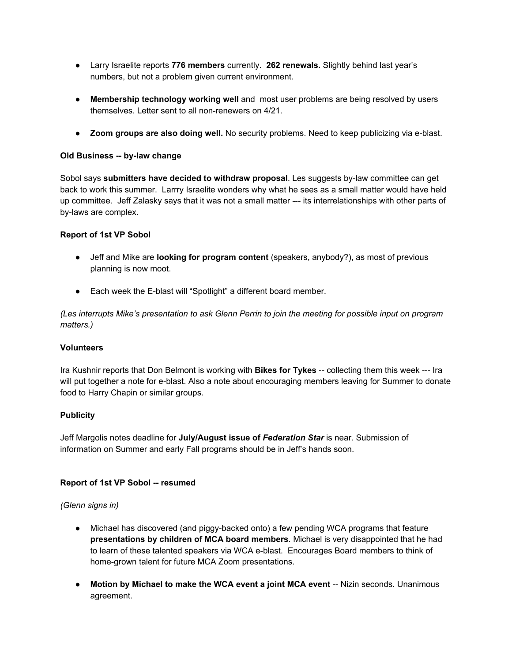- Larry Israelite reports **776 members** currently. **262 renewals.** Slightly behind last year's numbers, but not a problem given current environment.
- **Membership technology working well** and most user problems are being resolved by users themselves. Letter sent to all non-renewers on 4/21.
- **Zoom groups are also doing well.** No security problems. Need to keep publicizing via e-blast.

### **Old Business -- by-law change**

Sobol says **submitters have decided to withdraw proposal**. Les suggests by-law committee can get back to work this summer. Larrry Israelite wonders why what he sees as a small matter would have held up committee. Jeff Zalasky says that it was not a small matter --- its interrelationships with other parts of by-laws are complex.

### **Report of 1st VP Sobol**

- Jeff and Mike are **looking for program content** (speakers, anybody?), as most of previous planning is now moot.
- Each week the E-blast will "Spotlight" a different board member.

*(Les interrupts Mike's presentation to ask Glenn Perrin to join the meeting for possible input on program matters.)*

#### **Volunteers**

Ira Kushnir reports that Don Belmont is working with **Bikes for Tykes** -- collecting them this week --- Ira will put together a note for e-blast. Also a note about encouraging members leaving for Summer to donate food to Harry Chapin or similar groups.

### **Publicity**

Jeff Margolis notes deadline for **July/August issue of** *Federation Star* is near. Submission of information on Summer and early Fall programs should be in Jeff's hands soon.

### **Report of 1st VP Sobol -- resumed**

#### *(Glenn signs in)*

- Michael has discovered (and piggy-backed onto) a few pending WCA programs that feature **presentations by children of MCA board members**. Michael is very disappointed that he had to learn of these talented speakers via WCA e-blast. Encourages Board members to think of home-grown talent for future MCA Zoom presentations.
- **Motion by Michael to make the WCA event a joint MCA event** -- Nizin seconds. Unanimous agreement.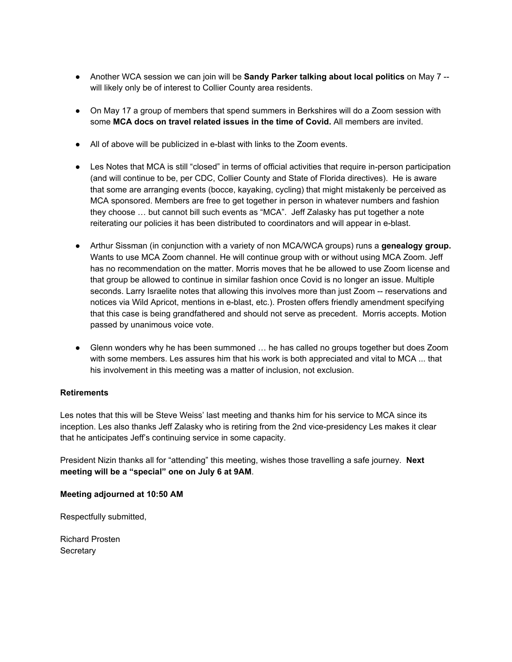- Another WCA session we can join will be **Sandy Parker talking about local politics** on May 7 will likely only be of interest to Collier County area residents.
- On May 17 a group of members that spend summers in Berkshires will do a Zoom session with some **MCA docs on travel related issues in the time of Covid.** All members are invited.
- All of above will be publicized in e-blast with links to the Zoom events.
- Les Notes that MCA is still "closed" in terms of official activities that require in-person participation (and will continue to be, per CDC, Collier County and State of Florida directives). He is aware that some are arranging events (bocce, kayaking, cycling) that might mistakenly be perceived as MCA sponsored. Members are free to get together in person in whatever numbers and fashion they choose … but cannot bill such events as "MCA". Jeff Zalasky has put together a note reiterating our policies it has been distributed to coordinators and will appear in e-blast.
- Arthur Sissman (in conjunction with a variety of non MCA/WCA groups) runs a **genealogy group.** Wants to use MCA Zoom channel. He will continue group with or without using MCA Zoom. Jeff has no recommendation on the matter. Morris moves that he be allowed to use Zoom license and that group be allowed to continue in similar fashion once Covid is no longer an issue. Multiple seconds. Larry Israelite notes that allowing this involves more than just Zoom -- reservations and notices via Wild Apricot, mentions in e-blast, etc.). Prosten offers friendly amendment specifying that this case is being grandfathered and should not serve as precedent. Morris accepts. Motion passed by unanimous voice vote.
- Glenn wonders why he has been summoned … he has called no groups together but does Zoom with some members. Les assures him that his work is both appreciated and vital to MCA ... that his involvement in this meeting was a matter of inclusion, not exclusion.

### **Retirements**

Les notes that this will be Steve Weiss' last meeting and thanks him for his service to MCA since its inception. Les also thanks Jeff Zalasky who is retiring from the 2nd vice-presidency Les makes it clear that he anticipates Jeff's continuing service in some capacity.

President Nizin thanks all for "attending" this meeting, wishes those travelling a safe journey. **Next meeting will be a "special" one on July 6 at 9AM**.

### **Meeting adjourned at 10:50 AM**

Respectfully submitted,

Richard Prosten **Secretary**